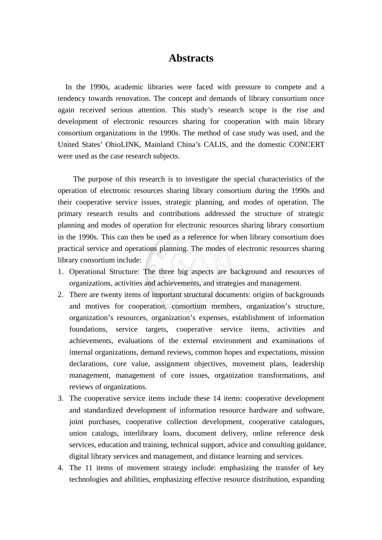## **Abstracts**

In the 1990s, academic libraries were faced with pressure to compete and a tendency towards renovation. The concept and demands of library consortium once again received serious attention. This study's research scope is the rise and development of electronic resources sharing for cooperation with main library consortium organizations in the 1990s. The method of case study was used, and the United States' OhioLINK, Mainland China's CALIS, and the domestic CONCERT were used as the case research subjects.

 The purpose of this research is to investigate the special characteristics of the operation of electronic resources sharing library consortium during the 1990s and their cooperative service issues, strategic planning, and modes of operation. The primary research results and contributions addressed the structure of strategic planning and modes of operation for electronic resources sharing library consortium in the 1990s. This can then be used as a reference for when library consortium does practical service and operations planning. The modes of electronic resources sharing library consortium include:

- 1. Operational Structure: The three big aspects are background and resources of organizations, activities and achievements, and strategies and management.
- 2. There are twenty items of important structural documents: origins of backgrounds and motives for cooperation, consortium members, organization's structure, organization's resources, organization's expenses, establishment of information foundations, service targets, cooperative service items, activities and achievements, evaluations of the external environment and examinations of internal organizations, demand reviews, common hopes and expectations, mission declarations, core value, assignment objectives, movement plans, leadership management, management of core issues, organization transformations, and reviews of organizations.
- 3. The cooperative service items include these 14 items: cooperative development and standardized development of information resource hardware and software, joint purchases, cooperative collection development, cooperative catalogues, union catalogs, interlibrary loans, document delivery, online reference desk services, education and training, technical support, advice and consulting guidance, digital library services and management, and distance learning and services.
- 4. The 11 items of movement strategy include: emphasizing the transfer of key technologies and abilities, emphasizing effective resource distribution, expanding